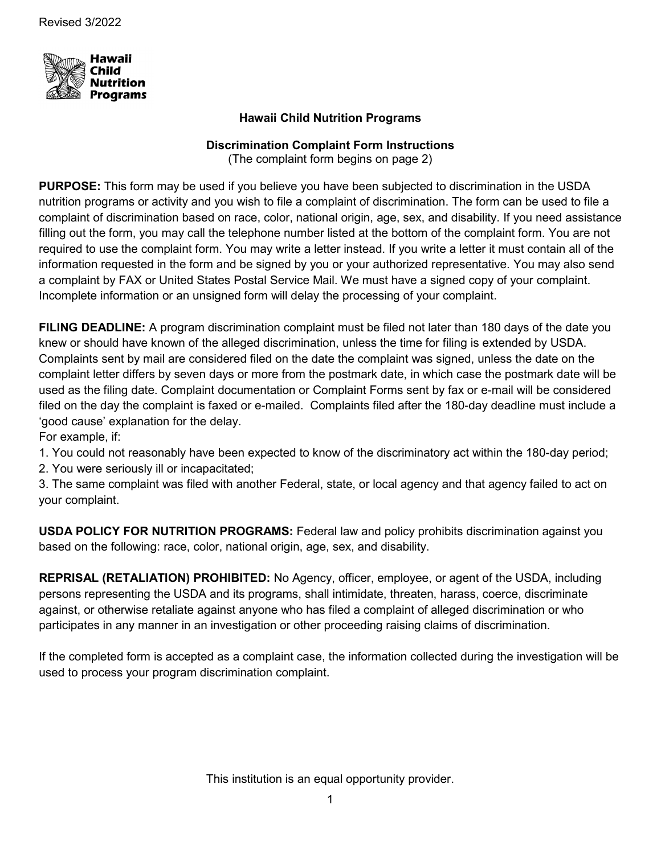

## **Hawaii Child Nutrition Programs**

### **Discrimination Complaint Form Instructions**

(The complaint form begins on page 2)

**PURPOSE:** This form may be used if you believe you have been subjected to discrimination in the USDA nutrition programs or activity and you wish to file a complaint of discrimination. The form can be used to file a complaint of discrimination based on race, color, national origin, age, sex, and disability. If you need assistance filling out the form, you may call the telephone number listed at the bottom of the complaint form. You are not required to use the complaint form. You may write a letter instead. If you write a letter it must contain all of the information requested in the form and be signed by you or your authorized representative. You may also send a complaint by FAX or United States Postal Service Mail. We must have a signed copy of your complaint. Incomplete information or an unsigned form will delay the processing of your complaint.

**FILING DEADLINE:** A program discrimination complaint must be filed not later than 180 days of the date you knew or should have known of the alleged discrimination, unless the time for filing is extended by USDA. Complaints sent by mail are considered filed on the date the complaint was signed, unless the date on the complaint letter differs by seven days or more from the postmark date, in which case the postmark date will be used as the filing date. Complaint documentation or Complaint Forms sent by fax or e-mail will be considered filed on the day the complaint is faxed or e-mailed. Complaints filed after the 180-day deadline must include a 'good cause' explanation for the delay.

For example, if:

1. You could not reasonably have been expected to know of the discriminatory act within the 180-day period;

2. You were seriously ill or incapacitated;

3. The same complaint was filed with another Federal, state, or local agency and that agency failed to act on your complaint.

**USDA POLICY FOR NUTRITION PROGRAMS:** Federal law and policy prohibits discrimination against you based on the following: race, color, national origin, age, sex, and disability.

**REPRISAL (RETALIATION) PROHIBITED:** No Agency, officer, employee, or agent of the USDA, including persons representing the USDA and its programs, shall intimidate, threaten, harass, coerce, discriminate against, or otherwise retaliate against anyone who has filed a complaint of alleged discrimination or who participates in any manner in an investigation or other proceeding raising claims of discrimination.

If the completed form is accepted as a complaint case, the information collected during the investigation will be used to process your program discrimination complaint.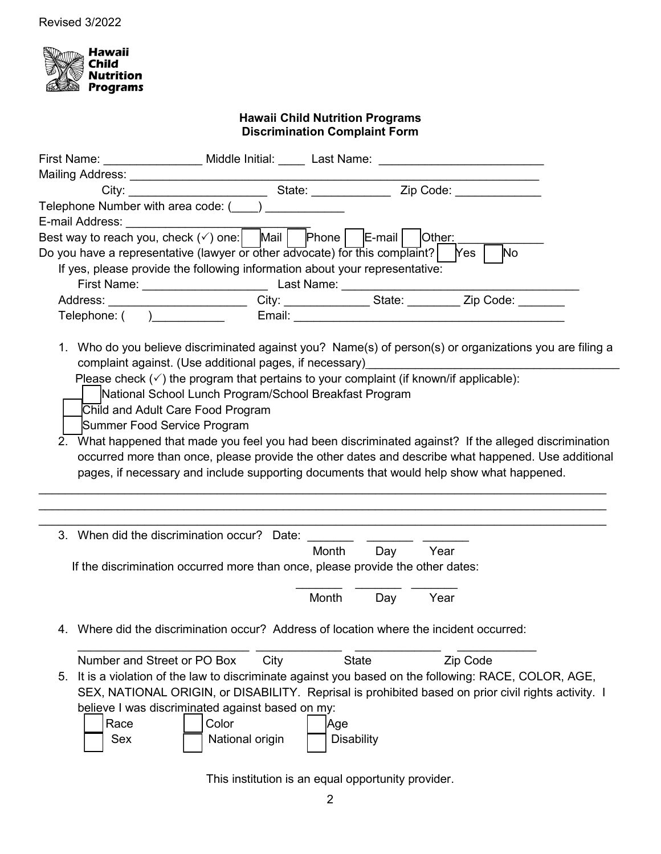

#### **Hawaii Child Nutrition Programs Discrimination Complaint Form**

|             | First Name: ________________ Middle Initial: _____ Last Name: __________________                                                                                                                                                                                                                                                                                                                                                                                                                                                                 |      |                          |     |          |           |  |
|-------------|--------------------------------------------------------------------------------------------------------------------------------------------------------------------------------------------------------------------------------------------------------------------------------------------------------------------------------------------------------------------------------------------------------------------------------------------------------------------------------------------------------------------------------------------------|------|--------------------------|-----|----------|-----------|--|
|             |                                                                                                                                                                                                                                                                                                                                                                                                                                                                                                                                                  |      |                          |     |          |           |  |
|             |                                                                                                                                                                                                                                                                                                                                                                                                                                                                                                                                                  |      |                          |     |          |           |  |
|             | Telephone Number with area code: $(\_\_\_\_$                                                                                                                                                                                                                                                                                                                                                                                                                                                                                                     |      |                          |     |          |           |  |
|             | E-mail Address: _________________<br>Best way to reach you, check $(\checkmark)$ one: Mail Phone E-mail Other:                                                                                                                                                                                                                                                                                                                                                                                                                                   |      |                          |     |          |           |  |
|             | Do you have a representative (lawyer or other advocate) for this complaint?   Yes                                                                                                                                                                                                                                                                                                                                                                                                                                                                |      |                          |     |          | <b>No</b> |  |
|             | If yes, please provide the following information about your representative:                                                                                                                                                                                                                                                                                                                                                                                                                                                                      |      |                          |     |          |           |  |
|             |                                                                                                                                                                                                                                                                                                                                                                                                                                                                                                                                                  |      |                          |     |          |           |  |
|             | Address: _________________________City: ______________State: ________Zip Code: _______                                                                                                                                                                                                                                                                                                                                                                                                                                                           |      |                          |     |          |           |  |
|             |                                                                                                                                                                                                                                                                                                                                                                                                                                                                                                                                                  |      |                          |     |          |           |  |
|             | 1. Who do you believe discriminated against you? Name(s) of person(s) or organizations you are filing a<br>complaint against. (Use additional pages, if necessary) [2012]                                                                                                                                                                                                                                                                                                                                                                        |      |                          |     |          |           |  |
| 2.          | Please check $(\check{\phantom{a}})$ the program that pertains to your complaint (if known/if applicable):<br>National School Lunch Program/School Breakfast Program<br>Child and Adult Care Food Program<br>Summer Food Service Program<br>What happened that made you feel you had been discriminated against? If the alleged discrimination<br>occurred more than once, please provide the other dates and describe what happened. Use additional<br>pages, if necessary and include supporting documents that would help show what happened. |      |                          |     |          |           |  |
|             |                                                                                                                                                                                                                                                                                                                                                                                                                                                                                                                                                  |      |                          |     |          |           |  |
|             |                                                                                                                                                                                                                                                                                                                                                                                                                                                                                                                                                  |      | Month                    | Day | Year     |           |  |
|             | If the discrimination occurred more than once, please provide the other dates:                                                                                                                                                                                                                                                                                                                                                                                                                                                                   |      |                          |     |          |           |  |
|             |                                                                                                                                                                                                                                                                                                                                                                                                                                                                                                                                                  |      | Month                    | Day | Year     |           |  |
|             | 4. Where did the discrimination occur? Address of location where the incident occurred:                                                                                                                                                                                                                                                                                                                                                                                                                                                          |      |                          |     |          |           |  |
|             | Number and Street or PO Box                                                                                                                                                                                                                                                                                                                                                                                                                                                                                                                      | City | <b>State</b>             |     | Zip Code |           |  |
| 5.          | It is a violation of the law to discriminate against you based on the following: RACE, COLOR, AGE,                                                                                                                                                                                                                                                                                                                                                                                                                                               |      |                          |     |          |           |  |
|             | SEX, NATIONAL ORIGIN, or DISABILITY. Reprisal is prohibited based on prior civil rights activity. I                                                                                                                                                                                                                                                                                                                                                                                                                                              |      |                          |     |          |           |  |
|             | believe I was discriminated against based on my:                                                                                                                                                                                                                                                                                                                                                                                                                                                                                                 |      |                          |     |          |           |  |
| Race<br>Sex | Color<br>National origin                                                                                                                                                                                                                                                                                                                                                                                                                                                                                                                         |      | Age<br><b>Disability</b> |     |          |           |  |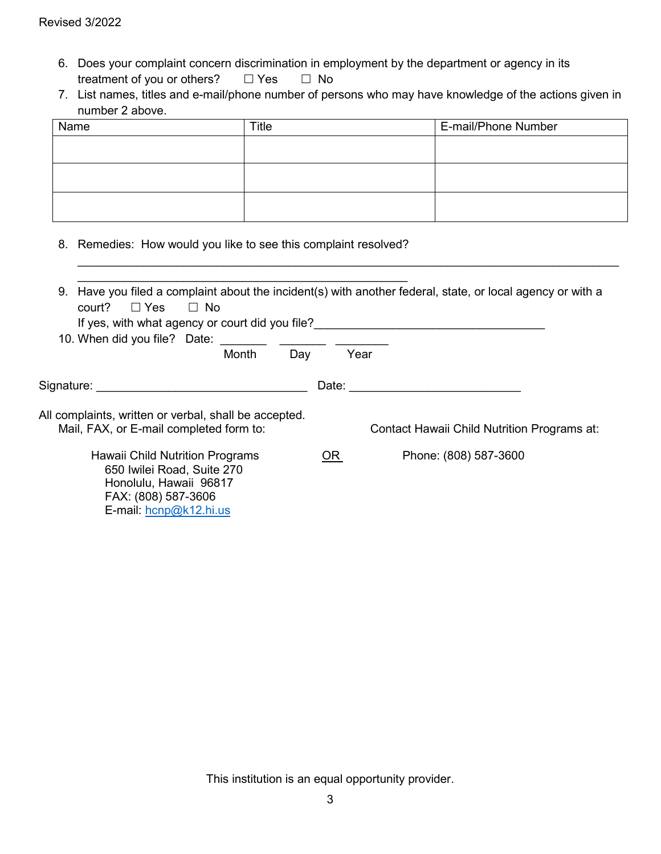- 6. Does your complaint concern discrimination in employment by the department or agency in its treatment of you or others?  $\Box$  Yes  $\Box$  No
- 7. List names, titles and e-mail/phone number of persons who may have knowledge of the actions given in number 2 above.

| Name | <b>Title</b> | E-mail/Phone Number |
|------|--------------|---------------------|
|      |              |                     |
|      |              |                     |
|      |              |                     |
|      |              |                     |
|      |              |                     |
|      |              |                     |

 $\_$  ,  $\_$  ,  $\_$  ,  $\_$  ,  $\_$  ,  $\_$  ,  $\_$  ,  $\_$  ,  $\_$  ,  $\_$  ,  $\_$  ,  $\_$  ,  $\_$  ,  $\_$  ,  $\_$  ,  $\_$  ,  $\_$  ,  $\_$  ,  $\_$  ,  $\_$  ,  $\_$  ,  $\_$  ,  $\_$  ,  $\_$  ,  $\_$  ,  $\_$  ,  $\_$  ,  $\_$  ,  $\_$  ,  $\_$  ,  $\_$  ,  $\_$  ,  $\_$  ,  $\_$  ,  $\_$  ,  $\_$  ,  $\_$  ,

8. Remedies: How would you like to see this complaint resolved?

 FAX: (808) 587-3606 E-mail: [hcnp@k12.hi.us](mailto:hcnp@k12.hi.us)

| 9.<br>court?<br>$\Box$ Yes<br>$\Box$ No<br>If yes, with what agency or court did you file?       |       | Have you filed a complaint about the incident(s) with another federal, state, or local agency or with a |
|--------------------------------------------------------------------------------------------------|-------|---------------------------------------------------------------------------------------------------------|
| Month<br>Day                                                                                     | Year  |                                                                                                         |
| Signature: <b>Alice Signature</b>                                                                | Date: |                                                                                                         |
| All complaints, written or verbal, shall be accepted.<br>Mail, FAX, or E-mail completed form to: |       | Contact Hawaii Child Nutrition Programs at:                                                             |
| Hawaii Child Nutrition Programs<br>650 Iwilei Road, Suite 270<br>Honolulu, Hawaii 96817          |       | Phone: (808) 587-3600                                                                                   |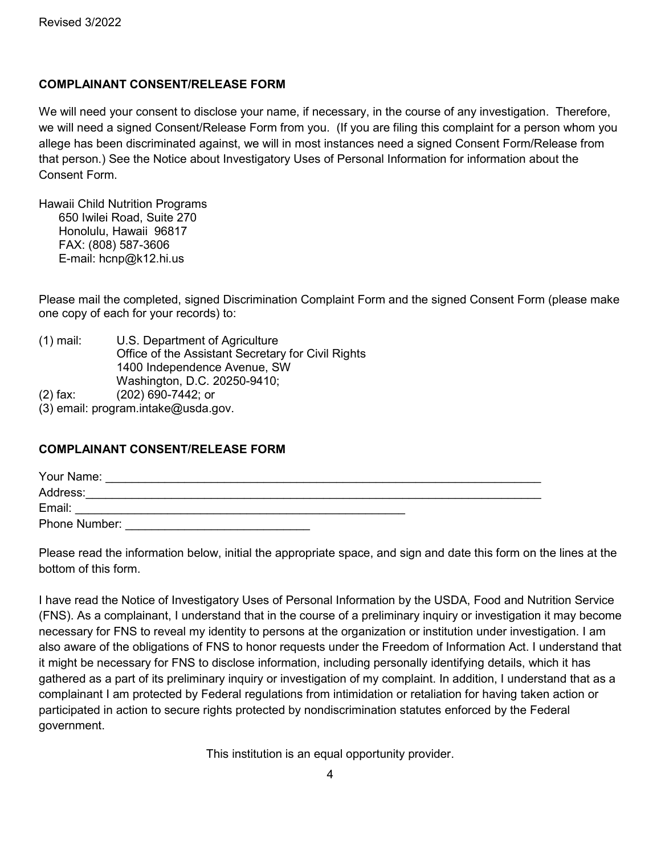# **COMPLAINANT CONSENT/RELEASE FORM**

We will need your consent to disclose your name, if necessary, in the course of any investigation. Therefore, we will need a signed Consent/Release Form from you. (If you are filing this complaint for a person whom you allege has been discriminated against, we will in most instances need a signed Consent Form/Release from that person.) See the Notice about Investigatory Uses of Personal Information for information about the Consent Form.

Hawaii Child Nutrition Programs 650 Iwilei Road, Suite 270 Honolulu, Hawaii 96817 FAX: (808) 587-3606 E-mail: hcnp@k12.hi.us

Please mail the completed, signed Discrimination Complaint Form and the signed Consent Form (please make one copy of each for your records) to:

- (1) mail: U.S. Department of Agriculture Office of the Assistant Secretary for Civil Rights 1400 Independence Avenue, SW Washington, D.C. 20250-9410; (2) fax: (202) 690-7442; or
- (3) email: program.intake@usda.gov.

## **COMPLAINANT CONSENT/RELEASE FORM**

| Your Name:    |  |
|---------------|--|
| Address:      |  |
| Email:        |  |
| Phone Number: |  |

Please read the information below, initial the appropriate space, and sign and date this form on the lines at the bottom of this form.

I have read the Notice of Investigatory Uses of Personal Information by the USDA, Food and Nutrition Service (FNS). As a complainant, I understand that in the course of a preliminary inquiry or investigation it may become necessary for FNS to reveal my identity to persons at the organization or institution under investigation. I am also aware of the obligations of FNS to honor requests under the Freedom of Information Act. I understand that it might be necessary for FNS to disclose information, including personally identifying details, which it has gathered as a part of its preliminary inquiry or investigation of my complaint. In addition, I understand that as a complainant I am protected by Federal regulations from intimidation or retaliation for having taken action or participated in action to secure rights protected by nondiscrimination statutes enforced by the Federal government.